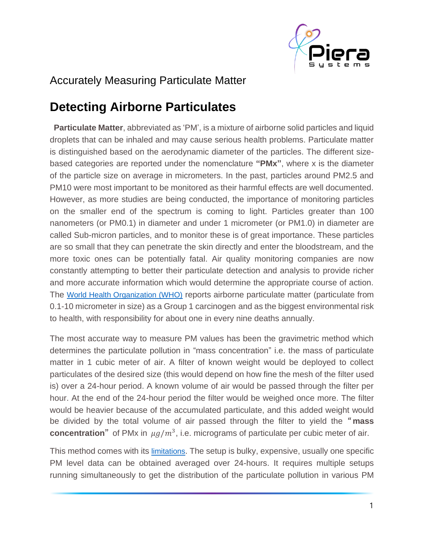

## **Detecting Airborne Particulates**

**Particulate Matter**, abbreviated as 'PM', is a mixture of airborne solid particles and liquid droplets that can be inhaled and may cause serious health problems. Particulate matter is distinguished based on the aerodynamic diameter of the particles. The different sizebased categories are reported under the nomenclature **"PMx"**, where x is the diameter of the particle size on average in micrometers. In the past, particles around PM2.5 and PM10 were most important to be monitored as their harmful effects are well documented. However, as more studies are being conducted, the importance of monitoring particles on the smaller end of the spectrum is coming to light. Particles greater than 100 nanometers (or PM0.1) in diameter and under 1 micrometer (or PM1.0) in diameter are called Sub-micron particles, and to monitor these is of great importance. These particles are so small that they can penetrate the skin directly and enter the bloodstream, and the more toxic ones can be potentially fatal. Air quality monitoring companies are now constantly attempting to better their particulate detection and analysis to provide richer and more accurate information which would determine the appropriate course of action. The [World Health Organization \(WHO\)](https://www.who.int/airpollution/en/) reports airborne particulate matter (particulate from 0.1-10 micrometer in size) as a Group 1 carcinogen and as the biggest environmental risk to health, with responsibility for about one in every nine deaths annually.

The most accurate way to measure PM values has been the gravimetric method which determines the particulate pollution in "mass concentration" i.e. the mass of particulate matter in 1 cubic meter of air. A filter of known weight would be deployed to collect particulates of the desired size (this would depend on how fine the mesh of the filter used is) over a 24-hour period. A known volume of air would be passed through the filter per hour. At the end of the 24-hour period the filter would be weighed once more. The filter would be heavier because of the accumulated particulate, and this added weight would be divided by the total volume of air passed through the filter to yield the "**mass**  concentration" of PMx in  $\mu g/m^3$ , i.e. micrograms of particulate per cubic meter of air.

This method comes with its *[limitations](https://www.sciencedirect.com/science/article/pii/S2590162119300346?via%3Dihu)*. The setup is bulky, expensive, usually one specific PM level data can be obtained averaged over 24-hours. It requires multiple setups running simultaneously to get the distribution of the particulate pollution in various PM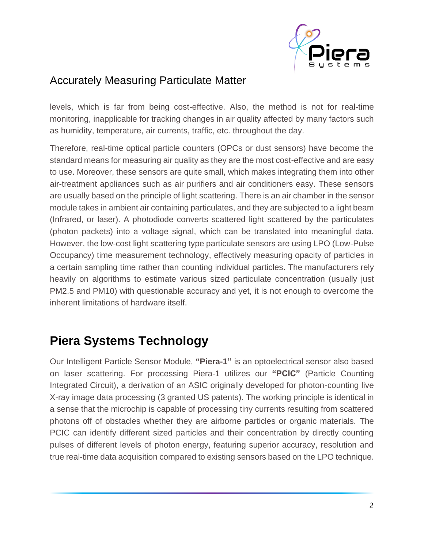

levels, which is far from being cost-effective. Also, the method is not for real-time monitoring, inapplicable for tracking changes in air quality affected by many factors such as humidity, temperature, air currents, traffic, etc. throughout the day.

Therefore, real-time optical particle counters (OPCs or dust sensors) have become the standard means for measuring air quality as they are the most cost-effective and are easy to use. Moreover, these sensors are quite small, which makes integrating them into other air-treatment appliances such as air purifiers and air conditioners easy. These sensors are usually based on the principle of light scattering. There is an air chamber in the sensor module takes in ambient air containing particulates, and they are subjected to a light beam (Infrared, or laser). A photodiode converts scattered light scattered by the particulates (photon packets) into a voltage signal, which can be translated into meaningful data. However, the low-cost light scattering type particulate sensors are using LPO (Low-Pulse Occupancy) time measurement technology, effectively measuring opacity of particles in a certain sampling time rather than counting individual particles. The manufacturers rely heavily on algorithms to estimate various sized particulate concentration (usually just PM2.5 and PM10) with questionable accuracy and yet, it is not enough to overcome the inherent limitations of hardware itself.

# **Piera Systems Technology**

Our Intelligent Particle Sensor Module, **"Piera-1"** is an optoelectrical sensor also based on laser scattering. For processing Piera-1 utilizes our **"PCIC"** (Particle Counting Integrated Circuit), a derivation of an ASIC originally developed for photon-counting live X-ray image data processing (3 granted US patents). The working principle is identical in a sense that the microchip is capable of processing tiny currents resulting from scattered photons off of obstacles whether they are airborne particles or organic materials. The PCIC can identify different sized particles and their concentration by directly counting pulses of different levels of photon energy, featuring superior accuracy, resolution and true real-time data acquisition compared to existing sensors based on the LPO technique.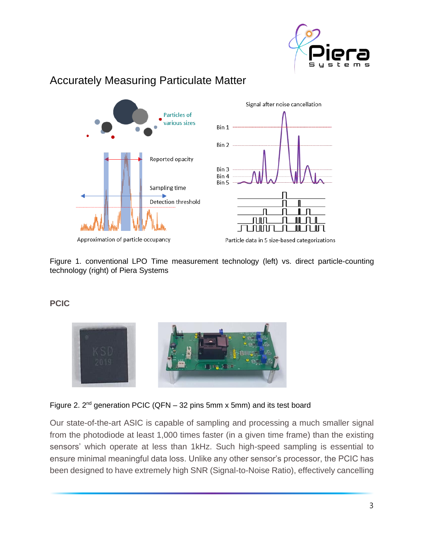

# **Particles of** various sizes Reported opacity Sampling time Detection threshold



## Accurately Measuring Particulate Matter

Approximation of particle occupancy

Particle data in 5 size-based categorizations

Figure 1. conventional LPO Time measurement technology (left) vs. direct particle-counting technology (right) of Piera Systems

#### **PCIC**



Figure 2.  $2^{nd}$  generation PCIC (QFN – 32 pins 5mm x 5mm) and its test board

Our state-of-the-art ASIC is capable of sampling and processing a much smaller signal from the photodiode at least 1,000 times faster (in a given time frame) than the existing sensors' which operate at less than 1kHz. Such high-speed sampling is essential to ensure minimal meaningful data loss. Unlike any other sensor's processor, the PCIC has been designed to have extremely high SNR (Signal-to-Noise Ratio), effectively cancelling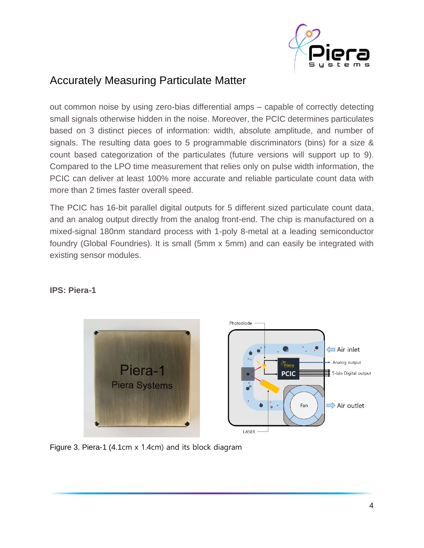

out common noise by using zero-bias differential amps – capable of correctly detecting small signals otherwise hidden in the noise. Moreover, the PCIC determines particulates based on 3 distinct pieces of information: width, absolute amplitude, and number of signals. The resulting data goes to 5 programmable discriminators (bins) for a size & count based categorization of the particulates (future versions will support up to 9). Compared to the LPO time measurement that relies only on pulse width information, the PCIC can deliver at least 100% more accurate and reliable particulate count data with more than 2 times faster overall speed.

The PCIC has 16-bit parallel digital outputs for 5 different sized particulate count data, and an analog output directly from the analog front-end. The chip is manufactured on a mixed-signal 180nm standard process with 1-poly 8-metal at a leading semiconductor foundry (Global Foundries). It is small (5mm x 5mm) and can easily be integrated with existing sensor modules.



#### **IPS: Piera-1**

Figure 3. Piera-1 (4.1cm x 1.4cm) and its block diagram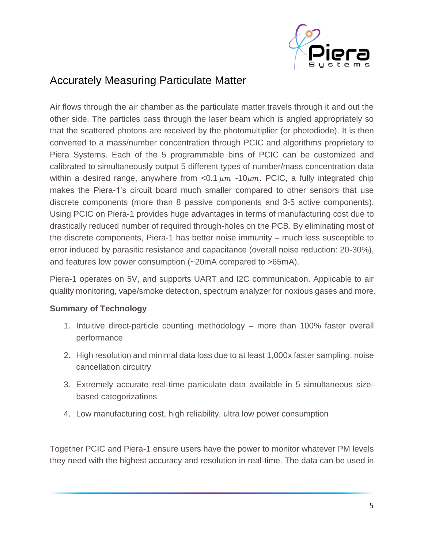

Air flows through the air chamber as the particulate matter travels through it and out the other side. The particles pass through the laser beam which is angled appropriately so that the scattered photons are received by the photomultiplier (or photodiode). It is then converted to a mass/number concentration through PCIC and algorithms proprietary to Piera Systems. Each of the 5 programmable bins of PCIC can be customized and calibrated to simultaneously output 5 different types of number/mass concentration data within a desired range, anywhere from <0.1  $\mu$ m -10 $\mu$ m. PCIC, a fully integrated chip makes the Piera-1's circuit board much smaller compared to other sensors that use discrete components (more than 8 passive components and 3-5 active components). Using PCIC on Piera-1 provides huge advantages in terms of manufacturing cost due to drastically reduced number of required through-holes on the PCB. By eliminating most of the discrete components, Piera-1 has better noise immunity – much less susceptible to error induced by parasitic resistance and capacitance (overall noise reduction: 20-30%), and features low power consumption (~20mA compared to >65mA).

Piera-1 operates on 5V, and supports UART and I2C communication. Applicable to air quality monitoring, vape/smoke detection, spectrum analyzer for noxious gases and more.

#### **Summary of Technology**

- 1. Intuitive direct-particle counting methodology more than 100% faster overall performance
- 2. High resolution and minimal data loss due to at least 1,000x faster sampling, noise cancellation circuitry
- 3. Extremely accurate real-time particulate data available in 5 simultaneous sizebased categorizations
- 4. Low manufacturing cost, high reliability, ultra low power consumption

Together PCIC and Piera-1 ensure users have the power to monitor whatever PM levels they need with the highest accuracy and resolution in real-time. The data can be used in